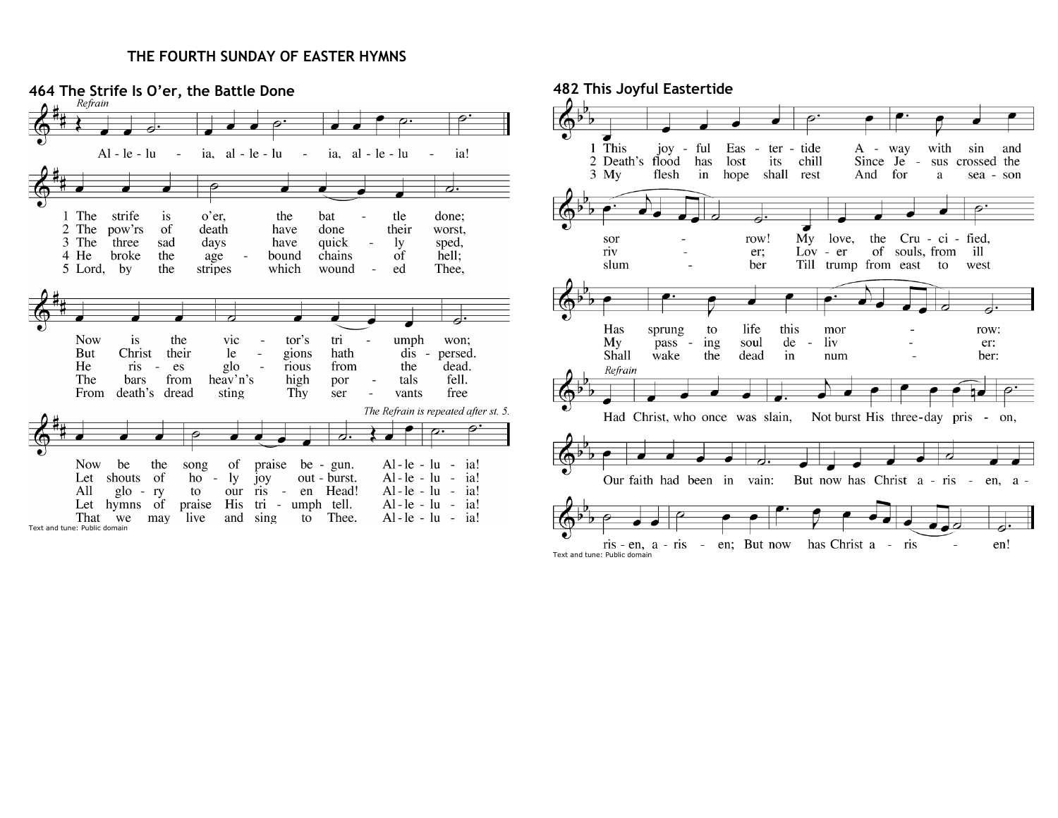## **THE FOURTH SUNDAY OF EASTER HYMNS**



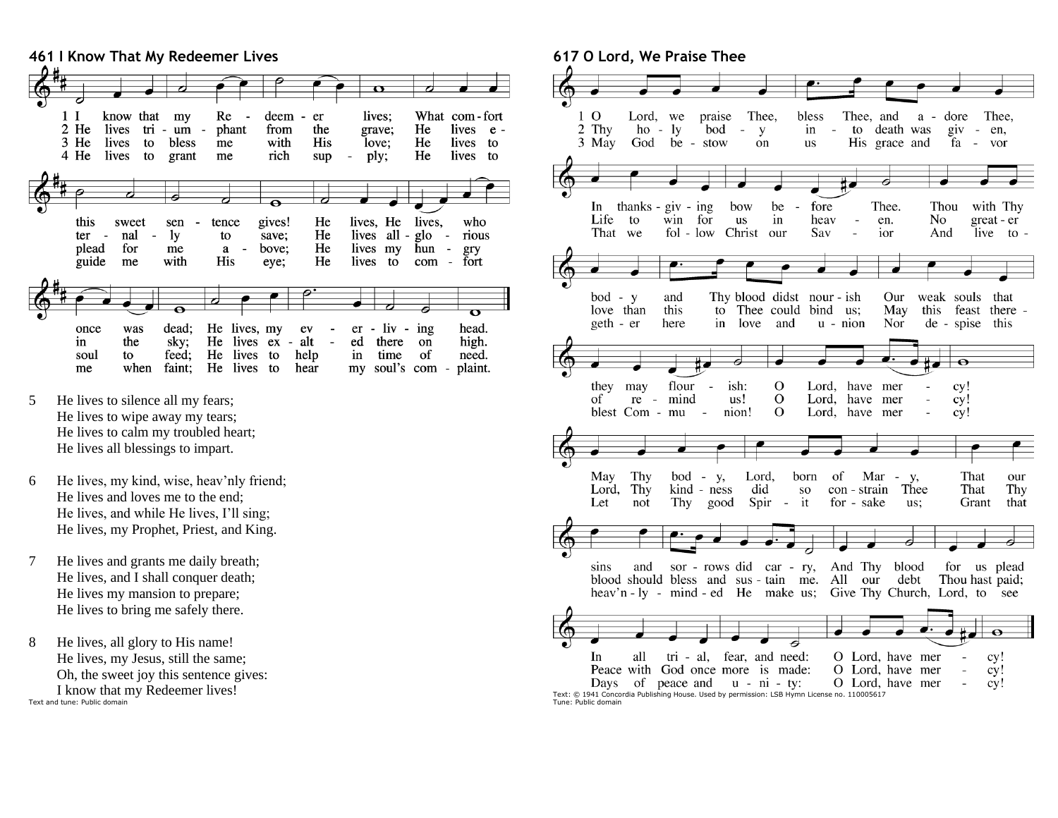

- 5 He lives to silence all my fears; He lives to wipe away my tears; He lives to calm my troubled heart; He lives all blessings to impart.
- 6 He lives, my kind, wise, heav'nly friend; He lives and loves me to the end; He lives, and while He lives, I'll sing; He lives, my Prophet, Priest, and King.
- 7 He lives and grants me daily breath; He lives, and I shall conquer death; He lives my mansion to prepare; He lives to bring me safely there.
- 8 He lives, all glory to His name! He lives, my Jesus, still the same; Oh, the sweet joy this sentence gives: I know that my Redeemer lives! Text and tune: Public domain

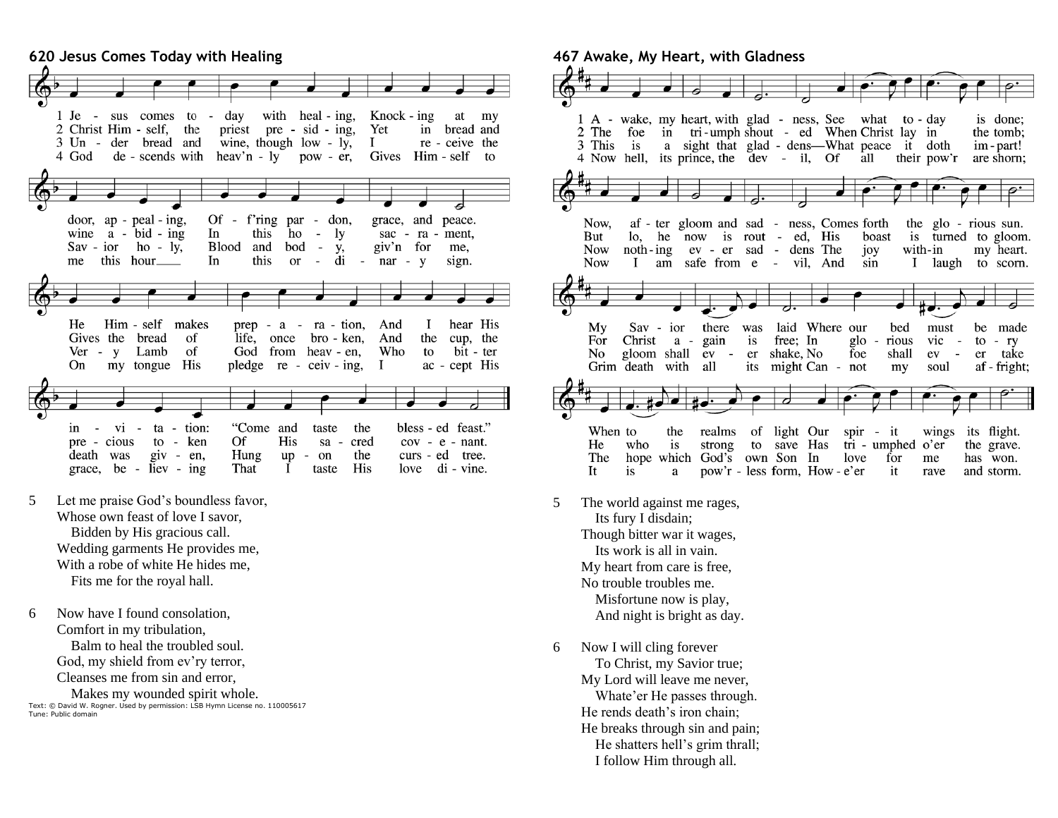

- 5 Let me praise God's boundless favor, Whose own feast of love I savor, Bidden by His gracious call. Wedding garments He provides me, With a robe of white He hides me, Fits me for the royal hall.
- 6 Now have I found consolation, Comfort in my tribulation, Balm to heal the troubled soul. God, my shield from ev'ry terror, Cleanses me from sin and error,

 Makes my wounded spirit whole. Text: © David W. Rogner. Used by permission: LSB Hymn License no. 110005617 Tune: Public domain

**467 Awake, My Heart, with Gladness**



- 5 The world against me rages, Its fury I disdain; Though bitter war it wages, Its work is all in vain. My heart from care is free, No trouble troubles me. Misfortune now is play, And night is bright as day.
- 6 Now I will cling forever To Christ, my Savior true; My Lord will leave me never, Whate'er He passes through. He rends death's iron chain; He breaks through sin and pain; He shatters hell's grim thrall; I follow Him through all.